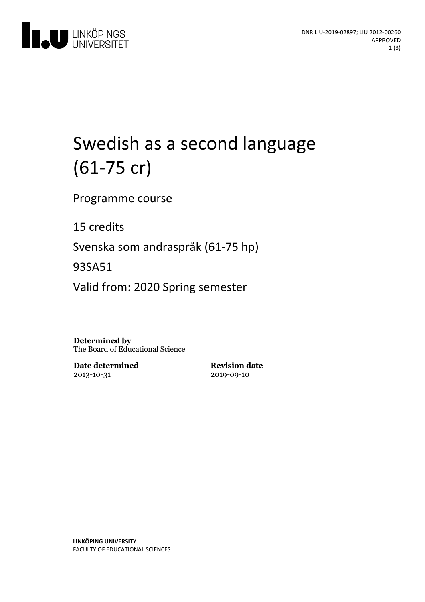

# Swedish as a second language (61-75 cr)

Programme course

15 credits

Svenska som andraspråk (61-75 hp)

93SA51

Valid from: 2020 Spring semester

**Determined by** The Board of Educational Science

**Date determined** 2013-10-31

**Revision date** 2019-09-10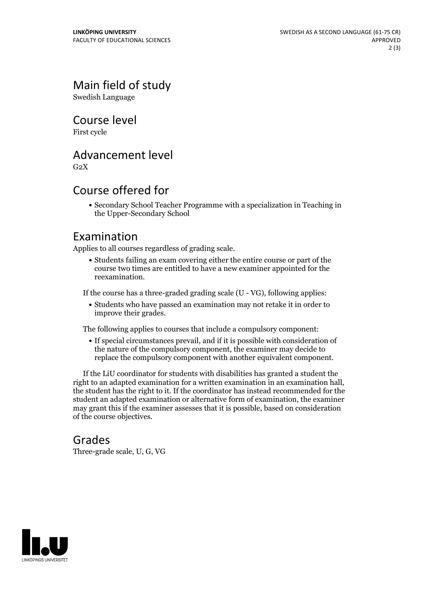## Main field of study

Swedish Language

Course level

First cycle

#### Advancement level

 $G<sub>2</sub>X$ 

### Course offered for

Secondary School Teacher Programme with a specialization in Teaching in the Upper-Secondary School

#### Examination

Applies to all courses regardless of grading scale.

Students failing an exam covering either the entire course or part of the course two times are entitled to have a new examiner appointed for the reexamination.

If the course has a three-graded grading scale (U - VG), following applies:

Students who have passed an examination may not retake it in order to improve their grades.

The following applies to courses that include a compulsory component:

If special circumstances prevail, and if it is possible with consideration of the nature of the compulsory component, the examiner may decide to replace the compulsory component with another equivalent component.

If the LiU coordinator for students with disabilities has granted a student the right to an adapted examination for <sup>a</sup> written examination in an examination hall, the student has the right to it. If the coordinator has instead recommended for the student an adapted examination or alternative form of examination, the examiner may grant this if the examiner assesses that it is possible, based on consideration of the course objectives.

#### Grades

Three-grade scale, U, G, VG